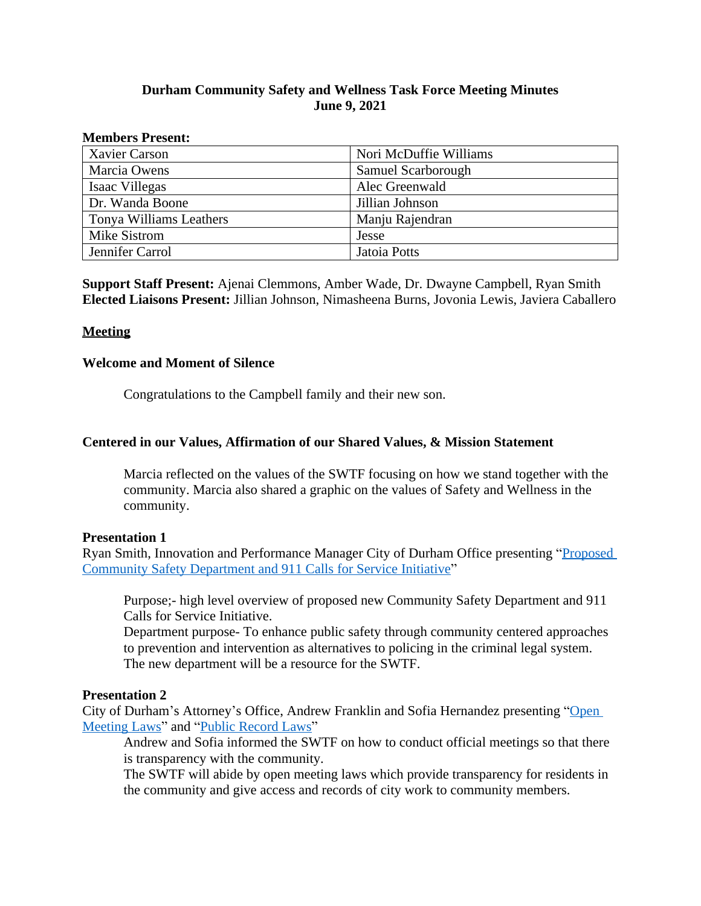# **Durham Community Safety and Wellness Task Force Meeting Minutes June 9, 2021**

#### **Members Present:**

| <b>Xavier Carson</b>    | Nori McDuffie Williams |
|-------------------------|------------------------|
| Marcia Owens            | Samuel Scarborough     |
| Isaac Villegas          | Alec Greenwald         |
| Dr. Wanda Boone         | Jillian Johnson        |
| Tonya Williams Leathers | Manju Rajendran        |
| Mike Sistrom            | Jesse                  |
| Jennifer Carrol         | Jatoia Potts           |

**Support Staff Present:** Ajenai Clemmons, Amber Wade, Dr. Dwayne Campbell, Ryan Smith **Elected Liaisons Present:** Jillian Johnson, Nimasheena Burns, Jovonia Lewis, Javiera Caballero

# **Meeting**

### **Welcome and Moment of Silence**

Congratulations to the Campbell family and their new son.

# **Centered in our Values, Affirmation of our Shared Values, & Mission Statement**

Marcia reflected on the values of the SWTF focusing on how we stand together with the community. Marcia also shared a graphic on the values of Safety and Wellness in the community.

### **Presentation 1**

Ryan Smith, Innovation and Performance Manager City of Durham Office presenting "[Proposed](https://durhamnc.gov/DocumentCenter/View/38894/911-Calls-for-Service-Presentation?bidId=)  Community Safety Department and 911 Calls for Service Initiative"

Purpose;- high level overview of proposed new Community Safety Department and 911 Calls for Service Initiative.

Department purpose- To enhance public safety through community centered approaches to prevention and intervention as alternatives to policing in the criminal legal system. The new department will be a resource for the SWTF.

### **Presentation 2**

City of Durham's Attorney's Office, Andrew Franklin and Sofia Hernandez presenting "Open Meeting Laws" and "[Public Record Laws](https://durhamnc.gov/DocumentCenter/View/38896/Public-Record-Laws-Presentation-?bidId=)"

Andrew and Sofia informed the SWTF on how to conduct official meetings so that there is transparency with the community.

The SWTF will abide by open meeting laws which provide transparency for residents in the community and give access and records of city work to community members.